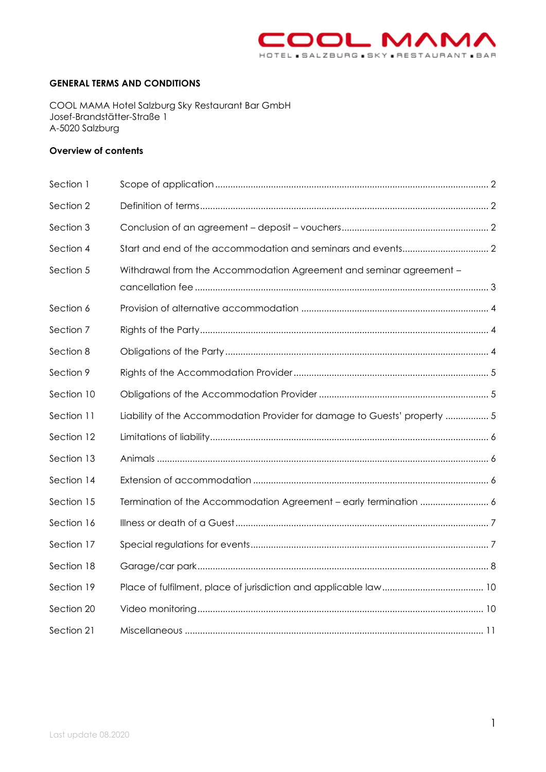

#### **GENERAL TERMS AND CONDITIONS**

COOL MAMA Hotel Salzburg Sky Restaurant Bar GmbH Josef-Brandstätter-Straße 1 A-5020 Salzburg

# **Overview of contents**

| Section 1  |                                                                           |  |
|------------|---------------------------------------------------------------------------|--|
| Section 2  |                                                                           |  |
| Section 3  |                                                                           |  |
| Section 4  |                                                                           |  |
| Section 5  | Withdrawal from the Accommodation Agreement and seminar agreement -       |  |
| Section 6  |                                                                           |  |
| Section 7  |                                                                           |  |
| Section 8  |                                                                           |  |
| Section 9  |                                                                           |  |
| Section 10 |                                                                           |  |
| Section 11 | Liability of the Accommodation Provider for damage to Guests' property  5 |  |
| Section 12 |                                                                           |  |
| Section 13 |                                                                           |  |
| Section 14 |                                                                           |  |
| Section 15 |                                                                           |  |
| Section 16 |                                                                           |  |
| Section 17 |                                                                           |  |
| Section 18 |                                                                           |  |
| Section 19 |                                                                           |  |
| Section 20 |                                                                           |  |
| Section 21 |                                                                           |  |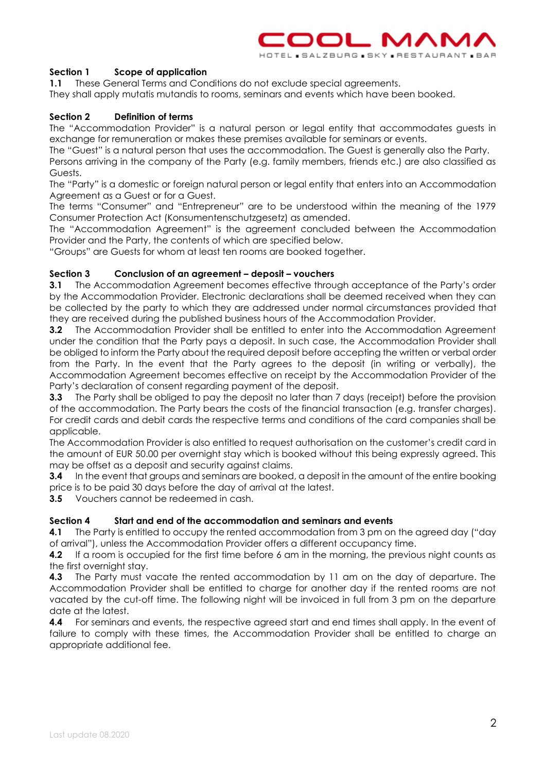

# <span id="page-1-0"></span>**Section 1 Scope of application**

**1.1** These General Terms and Conditions do not exclude special agreements.

<span id="page-1-1"></span>They shall apply mutatis mutandis to rooms, seminars and events which have been booked.

# **Section 2 Definition of terms**

The "Accommodation Provider" is a natural person or legal entity that accommodates guests in exchange for remuneration or makes these premises available for seminars or events.

The "Guest" is a natural person that uses the accommodation. The Guest is generally also the Party.

Persons arriving in the company of the Party (e.g. family members, friends etc.) are also classified as Guests.

The "Party" is a domestic or foreign natural person or legal entity that enters into an Accommodation Agreement as a Guest or for a Guest.

The terms "Consumer" and "Entrepreneur" are to be understood within the meaning of the 1979 Consumer Protection Act (Konsumentenschutzgesetz) as amended.

The "Accommodation Agreement" is the agreement concluded between the Accommodation Provider and the Party, the contents of which are specified below.

<span id="page-1-2"></span>"Groups" are Guests for whom at least ten rooms are booked together.

# **Section 3 Conclusion of an agreement – deposit – vouchers**

**3.1** The Accommodation Agreement becomes effective through acceptance of the Party's order by the Accommodation Provider. Electronic declarations shall be deemed received when they can be collected by the party to which they are addressed under normal circumstances provided that they are received during the published business hours of the Accommodation Provider.

**3.2** The Accommodation Provider shall be entitled to enter into the Accommodation Agreement under the condition that the Party pays a deposit. In such case, the Accommodation Provider shall be obliged to inform the Party about the required deposit before accepting the written or verbal order from the Party. In the event that the Party agrees to the deposit (in writing or verbally), the Accommodation Agreement becomes effective on receipt by the Accommodation Provider of the Party's declaration of consent regarding payment of the deposit.

**3.3** The Party shall be obliged to pay the deposit no later than 7 days (receipt) before the provision of the accommodation. The Party bears the costs of the financial transaction (e.g. transfer charges). For credit cards and debit cards the respective terms and conditions of the card companies shall be applicable.

The Accommodation Provider is also entitled to request authorisation on the customer's credit card in the amount of EUR 50.00 per overnight stay which is booked without this being expressly agreed. This may be offset as a deposit and security against claims.

**3.4** In the event that groups and seminars are booked, a deposit in the amount of the entire booking price is to be paid 30 days before the day of arrival at the latest.

<span id="page-1-3"></span>**3.5** Vouchers cannot be redeemed in cash.

# **Section 4 Start and end of the accommodation and seminars and events**

**4.1** The Party is entitled to occupy the rented accommodation from 3 pm on the agreed day ("day" of arrival"), unless the Accommodation Provider offers a different occupancy time.

**4.2** If a room is occupied for the first time before 6 am in the morning, the previous night counts as the first overnight stay.

**4.3** The Party must vacate the rented accommodation by 11 am on the day of departure. The Accommodation Provider shall be entitled to charge for another day if the rented rooms are not vacated by the cut-off time. The following night will be invoiced in full from 3 pm on the departure date at the latest.

**4.4** For seminars and events, the respective agreed start and end times shall apply. In the event of failure to comply with these times, the Accommodation Provider shall be entitled to charge an appropriate additional fee.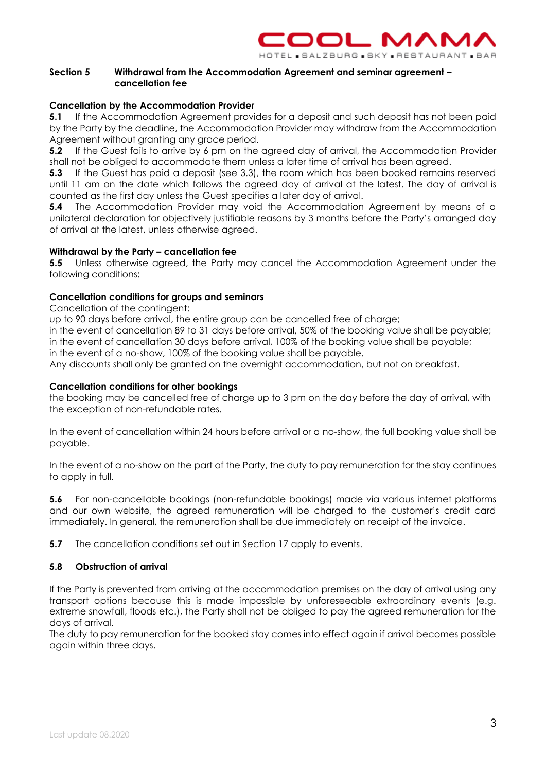

# <span id="page-2-0"></span>**Section 5 Withdrawal from the Accommodation Agreement and seminar agreement – cancellation fee**

# **Cancellation by the Accommodation Provider**

**5.1** If the Accommodation Agreement provides for a deposit and such deposit has not been paid by the Party by the deadline, the Accommodation Provider may withdraw from the Accommodation Agreement without granting any grace period.

**5.2** If the Guest fails to arrive by 6 pm on the agreed day of arrival, the Accommodation Provider shall not be obliged to accommodate them unless a later time of arrival has been agreed.

**5.3** If the Guest has paid a deposit (see 3.3), the room which has been booked remains reserved until 11 am on the date which follows the agreed day of arrival at the latest. The day of arrival is counted as the first day unless the Guest specifies a later day of arrival.

**5.4** The Accommodation Provider may void the Accommodation Agreement by means of a unilateral declaration for objectively justifiable reasons by 3 months before the Party's arranged day of arrival at the latest, unless otherwise agreed.

# **Withdrawal by the Party – cancellation fee**

**5.5** Unless otherwise agreed, the Party may cancel the Accommodation Agreement under the following conditions:

# **Cancellation conditions for groups and seminars**

Cancellation of the contingent:

up to 90 days before arrival, the entire group can be cancelled free of charge;

in the event of cancellation 89 to 31 days before arrival, 50% of the booking value shall be payable; in the event of cancellation 30 days before arrival, 100% of the booking value shall be payable; in the event of a no-show, 100% of the booking value shall be payable.

Any discounts shall only be granted on the overnight accommodation, but not on breakfast.

# **Cancellation conditions for other bookings**

the booking may be cancelled free of charge up to 3 pm on the day before the day of arrival, with the exception of non-refundable rates.

In the event of cancellation within 24 hours before arrival or a no-show, the full booking value shall be payable.

In the event of a no-show on the part of the Party, the duty to pay remuneration for the stay continues to apply in full.

**5.6** For non-cancellable bookings (non-refundable bookings) made via various internet platforms and our own website, the agreed remuneration will be charged to the customer's credit card immediately. In general, the remuneration shall be due immediately on receipt of the invoice.

**5.7** The cancellation conditions set out in Section 17 apply to events.

# **5.8 Obstruction of arrival**

If the Party is prevented from arriving at the accommodation premises on the day of arrival using any transport options because this is made impossible by unforeseeable extraordinary events (e.g. extreme snowfall, floods etc.), the Party shall not be obliged to pay the agreed remuneration for the days of arrival.

The duty to pay remuneration for the booked stay comes into effect again if arrival becomes possible again within three days.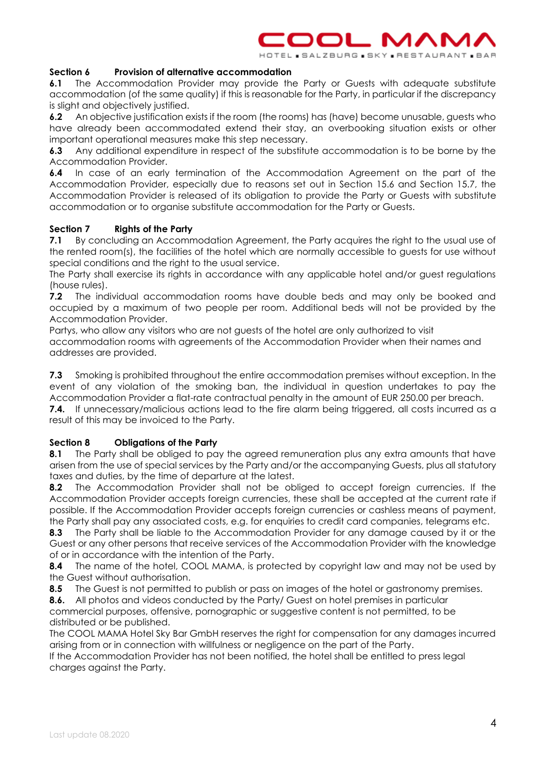

#### <span id="page-3-0"></span>**Section 6 Provision of alternative accommodation**

**6.1** The Accommodation Provider may provide the Party or Guests with adequate substitute accommodation (of the same quality) if this is reasonable for the Party, in particular if the discrepancy is slight and objectively justified.

**6.2** An objective justification exists if the room (the rooms) has (have) become unusable, quests who have already been accommodated extend their stay, an overbooking situation exists or other important operational measures make this step necessary.

**6.3** Any additional expenditure in respect of the substitute accommodation is to be borne by the Accommodation Provider.

**6.4** In case of an early termination of the Accommodation Agreement on the part of the Accommodation Provider, especially due to reasons set out in Section 15.6 and Section 15.7, the Accommodation Provider is released of its obligation to provide the Party or Guests with substitute accommodation or to organise substitute accommodation for the Party or Guests.

#### <span id="page-3-1"></span>**Section 7 Rights of the Party**

**7.1** By concluding an Accommodation Agreement, the Party acquires the right to the usual use of the rented room(s), the facilities of the hotel which are normally accessible to guests for use without special conditions and the right to the usual service.

The Party shall exercise its rights in accordance with any applicable hotel and/or guest regulations (house rules).

**7.2** The individual accommodation rooms have double beds and may only be booked and occupied by a maximum of two people per room. Additional beds will not be provided by the Accommodation Provider.

Partys, who allow any visitors who are not guests of the hotel are only authorized to visit accommodation rooms with agreements of the Accommodation Provider when their names and addresses are provided.

**7.3** Smoking is prohibited throughout the entire accommodation premises without exception. In the event of any violation of the smoking ban, the individual in question undertakes to pay the Accommodation Provider a flat-rate contractual penalty in the amount of EUR 250.00 per breach.

**7.4.** If unnecessary/malicious actions lead to the fire alarm being triggered, all costs incurred as a result of this may be invoiced to the Party.

# <span id="page-3-2"></span>**Section 8 Obligations of the Party**

**8.1** The Party shall be obliged to pay the agreed remuneration plus any extra amounts that have arisen from the use of special services by the Party and/or the accompanying Guests, plus all statutory taxes and duties, by the time of departure at the latest.

**8.2** The Accommodation Provider shall not be obliged to accept foreign currencies. If the Accommodation Provider accepts foreign currencies, these shall be accepted at the current rate if possible. If the Accommodation Provider accepts foreign currencies or cashless means of payment, the Party shall pay any associated costs, e.g. for enquiries to credit card companies, telegrams etc.

**8.3** The Party shall be liable to the Accommodation Provider for any damage caused by it or the Guest or any other persons that receive services of the Accommodation Provider with the knowledge of or in accordance with the intention of the Party.

**8.4** The name of the hotel, COOL MAMA, is protected by copyright law and may not be used by the Guest without authorisation.

**8.5** The Guest is not permitted to publish or pass on images of the hotel or gastronomy premises.

**8.6.** All photos and videos conducted by the Party/ Guest on hotel premises in particular commercial purposes, offensive, pornographic or suggestive content is not permitted, to be distributed or be published.

The COOL MAMA Hotel Sky Bar GmbH reserves the right for compensation for any damages incurred arising from or in connection with willfulness or negligence on the part of the Party.

If the Accommodation Provider has not been notified, the hotel shall be entitled to press legal charges against the Party.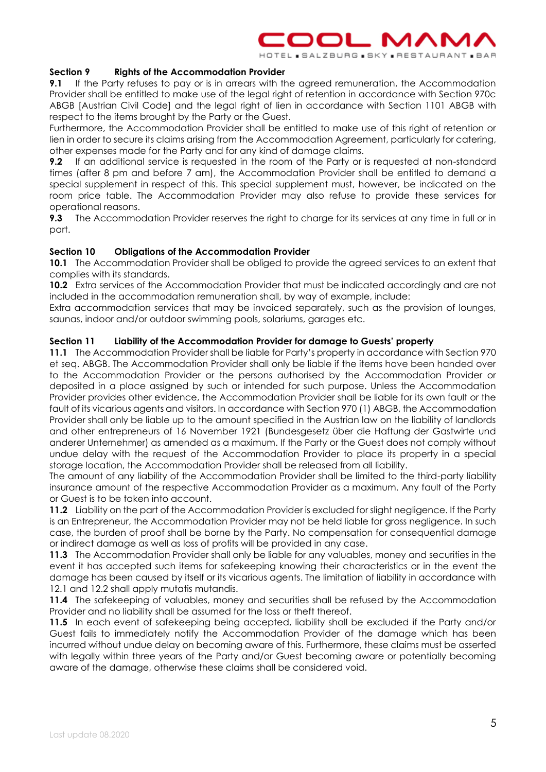

<span id="page-4-0"></span>**Section 9 Rights of the Accommodation Provider**

**9.1** If the Party refuses to pay or is in arrears with the agreed remuneration, the Accommodation Provider shall be entitled to make use of the legal right of retention in accordance with Section 970c ABGB [Austrian Civil Code] and the legal right of lien in accordance with Section 1101 ABGB with respect to the items brought by the Party or the Guest.

Furthermore, the Accommodation Provider shall be entitled to make use of this right of retention or lien in order to secure its claims arising from the Accommodation Agreement, particularly for catering, other expenses made for the Party and for any kind of damage claims.

**9.2** If an additional service is requested in the room of the Party or is requested at non-standard times (after 8 pm and before 7 am), the Accommodation Provider shall be entitled to demand a special supplement in respect of this. This special supplement must, however, be indicated on the room price table. The Accommodation Provider may also refuse to provide these services for operational reasons.

**9.3** The Accommodation Provider reserves the right to charge for its services at any time in full or in part.

# <span id="page-4-1"></span>**Section 10 Obligations of the Accommodation Provider**

**10.1** The Accommodation Provider shall be obliged to provide the agreed services to an extent that complies with its standards.

**10.2** Extra services of the Accommodation Provider that must be indicated accordingly and are not included in the accommodation remuneration shall, by way of example, include:

Extra accommodation services that may be invoiced separately, such as the provision of lounges, saunas, indoor and/or outdoor swimming pools, solariums, garages etc.

# <span id="page-4-2"></span>**Section 11 Liability of the Accommodation Provider for damage to Guests' property**

**11.1** The Accommodation Provider shall be liable for Party's property in accordance with Section 970 et seq. ABGB. The Accommodation Provider shall only be liable if the items have been handed over to the Accommodation Provider or the persons authorised by the Accommodation Provider or deposited in a place assigned by such or intended for such purpose. Unless the Accommodation Provider provides other evidence, the Accommodation Provider shall be liable for its own fault or the fault of its vicarious agents and visitors. In accordance with Section 970 (1) ABGB, the Accommodation Provider shall only be liable up to the amount specified in the Austrian law on the liability of landlords and other entrepreneurs of 16 November 1921 (Bundesgesetz über die Haftung der Gastwirte und anderer Unternehmer) as amended as a maximum. If the Party or the Guest does not comply without undue delay with the request of the Accommodation Provider to place its property in a special storage location, the Accommodation Provider shall be released from all liability.

The amount of any liability of the Accommodation Provider shall be limited to the third-party liability insurance amount of the respective Accommodation Provider as a maximum. Any fault of the Party or Guest is to be taken into account.

**11.2** Liability on the part of the Accommodation Provider is excluded for slight negligence. If the Party is an Entrepreneur, the Accommodation Provider may not be held liable for gross negligence. In such case, the burden of proof shall be borne by the Party. No compensation for consequential damage or indirect damage as well as loss of profits will be provided in any case.

**11.3** The Accommodation Provider shall only be liable for any valuables, money and securities in the event it has accepted such items for safekeeping knowing their characteristics or in the event the damage has been caused by itself or its vicarious agents. The limitation of liability in accordance with 12.1 and 12.2 shall apply mutatis mutandis.

**11.4** The safekeeping of valuables, money and securities shall be refused by the Accommodation Provider and no liability shall be assumed for the loss or theft thereof.

**11.5** In each event of safekeeping being accepted, liability shall be excluded if the Party and/or Guest fails to immediately notify the Accommodation Provider of the damage which has been incurred without undue delay on becoming aware of this. Furthermore, these claims must be asserted with legally within three years of the Party and/or Guest becoming aware or potentially becoming aware of the damage, otherwise these claims shall be considered void.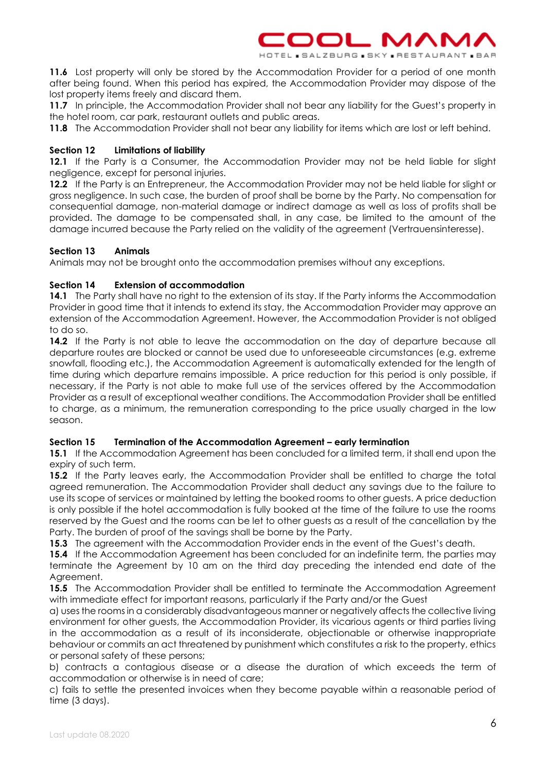

**11.6** Lost property will only be stored by the Accommodation Provider for a period of one month after being found. When this period has expired, the Accommodation Provider may dispose of the lost property items freely and discard them.

**11.7** In principle, the Accommodation Provider shall not bear any liability for the Guest's property in the hotel room, car park, restaurant outlets and public areas.

<span id="page-5-0"></span>**11.8** The Accommodation Provider shall not bear any liability for items which are lost or left behind.

# **Section 12 Limitations of liability**

**12.1** If the Party is a Consumer, the Accommodation Provider may not be held liable for slight negligence, except for personal injuries.

**12.2** If the Party is an Entrepreneur, the Accommodation Provider may not be held liable for slight or gross negligence. In such case, the burden of proof shall be borne by the Party. No compensation for consequential damage, non-material damage or indirect damage as well as loss of profits shall be provided. The damage to be compensated shall, in any case, be limited to the amount of the damage incurred because the Party relied on the validity of the agreement (Vertrauensinteresse).

# <span id="page-5-1"></span>**Section 13 Animals**

<span id="page-5-2"></span>Animals may not be brought onto the accommodation premises without any exceptions.

# **Section 14 Extension of accommodation**

**14.1** The Party shall have no right to the extension of its stay. If the Party informs the Accommodation Provider in good time that it intends to extend its stay, the Accommodation Provider may approve an extension of the Accommodation Agreement. However, the Accommodation Provider is not obliged to do so.

14.2 If the Party is not able to leave the accommodation on the day of departure because all departure routes are blocked or cannot be used due to unforeseeable circumstances (e.g. extreme snowfall, flooding etc.), the Accommodation Agreement is automatically extended for the length of time during which departure remains impossible. A price reduction for this period is only possible, if necessary, if the Party is not able to make full use of the services offered by the Accommodation Provider as a result of exceptional weather conditions. The Accommodation Provider shall be entitled to charge, as a minimum, the remuneration corresponding to the price usually charged in the low season.

# <span id="page-5-3"></span>**Section 15 Termination of the Accommodation Agreement – early termination**

**15.1** If the Accommodation Agreement has been concluded for a limited term, it shall end upon the expiry of such term.

**15.2** If the Party leaves early, the Accommodation Provider shall be entitled to charge the total agreed remuneration. The Accommodation Provider shall deduct any savings due to the failure to use its scope of services or maintained by letting the booked rooms to other guests. A price deduction is only possible if the hotel accommodation is fully booked at the time of the failure to use the rooms reserved by the Guest and the rooms can be let to other guests as a result of the cancellation by the Party. The burden of proof of the savings shall be borne by the Party.

**15.3** The agreement with the Accommodation Provider ends in the event of the Guest's death.

**15.4** If the Accommodation Agreement has been concluded for an indefinite term, the parties may terminate the Agreement by 10 am on the third day preceding the intended end date of the Agreement.

**15.5** The Accommodation Provider shall be entitled to terminate the Accommodation Agreement with immediate effect for important reasons, particularly if the Party and/or the Guest

a) uses the rooms in a considerably disadvantageous manner or negatively affects the collective living environment for other guests, the Accommodation Provider, its vicarious agents or third parties living in the accommodation as a result of its inconsiderate, objectionable or otherwise inappropriate behaviour or commits an act threatened by punishment which constitutes a risk to the property, ethics or personal safety of these persons;

b) contracts a contagious disease or a disease the duration of which exceeds the term of accommodation or otherwise is in need of care;

c) fails to settle the presented invoices when they become payable within a reasonable period of time (3 days).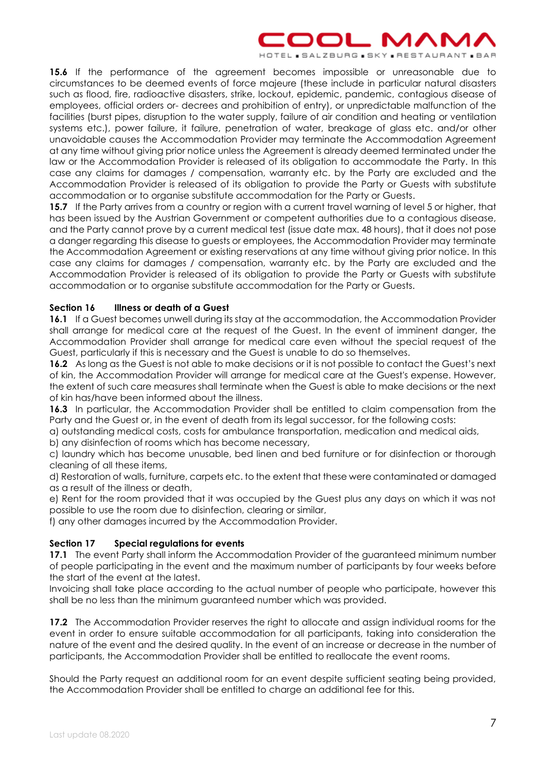# OOL MAM

HOTEL BALZBURG BKY PRESTAURANT BAR

**15.6** If the performance of the agreement becomes impossible or unreasonable due to circumstances to be deemed events of force majeure (these include in particular natural disasters such as flood, fire, radioactive disasters, strike, lockout, epidemic, pandemic, contagious disease of employees, official orders or- decrees and prohibition of entry), or unpredictable malfunction of the facilities (burst pipes, disruption to the water supply, failure of air condition and heating or ventilation systems etc.), power failure, it failure, penetration of water, breakage of glass etc. and/or other unavoidable causes the Accommodation Provider may terminate the Accommodation Agreement at any time without giving prior notice unless the Agreement is already deemed terminated under the law or the Accommodation Provider is released of its obligation to accommodate the Party. In this case any claims for damages / compensation, warranty etc. by the Party are excluded and the Accommodation Provider is released of its obligation to provide the Party or Guests with substitute accommodation or to organise substitute accommodation for the Party or Guests.

**15.7** If the Party arrives from a country or region with a current travel warning of level 5 or higher, that has been issued by the Austrian Government or competent authorities due to a contagious disease, and the Party cannot prove by a current medical test (issue date max. 48 hours), that it does not pose a danger regarding this disease to guests or employees, the Accommodation Provider may terminate the Accommodation Agreement or existing reservations at any time without giving prior notice. In this case any claims for damages / compensation, warranty etc. by the Party are excluded and the Accommodation Provider is released of its obligation to provide the Party or Guests with substitute accommodation or to organise substitute accommodation for the Party or Guests.

# <span id="page-6-0"></span>**Section 16 Illness or death of a Guest**

**16.1** If a Guest becomes unwell during its stay at the accommodation, the Accommodation Provider shall arrange for medical care at the request of the Guest. In the event of imminent danger, the Accommodation Provider shall arrange for medical care even without the special request of the Guest, particularly if this is necessary and the Guest is unable to do so themselves.

**16.2** As long as the Guest is not able to make decisions or it is not possible to contact the Guest's next of kin, the Accommodation Provider will arrange for medical care at the Guest's expense. However, the extent of such care measures shall terminate when the Guest is able to make decisions or the next of kin has/have been informed about the illness.

**16.3** In particular, the Accommodation Provider shall be entitled to claim compensation from the Party and the Guest or, in the event of death from its legal successor, for the following costs:

a) outstanding medical costs, costs for ambulance transportation, medication and medical aids,

b) any disinfection of rooms which has become necessary,

c) laundry which has become unusable, bed linen and bed furniture or for disinfection or thorough cleaning of all these items,

d) Restoration of walls, furniture, carpets etc. to the extent that these were contaminated or damaged as a result of the illness or death,

e) Rent for the room provided that it was occupied by the Guest plus any days on which it was not possible to use the room due to disinfection, clearing or similar,

<span id="page-6-1"></span>f) any other damages incurred by the Accommodation Provider.

# **Section 17 Special regulations for events**

**17.1** The event Party shall inform the Accommodation Provider of the guaranteed minimum number of people participating in the event and the maximum number of participants by four weeks before the start of the event at the latest.

Invoicing shall take place according to the actual number of people who participate, however this shall be no less than the minimum guaranteed number which was provided.

**17.2** The Accommodation Provider reserves the right to allocate and assign individual rooms for the event in order to ensure suitable accommodation for all participants, taking into consideration the nature of the event and the desired quality. In the event of an increase or decrease in the number of participants, the Accommodation Provider shall be entitled to reallocate the event rooms.

Should the Party request an additional room for an event despite sufficient seating being provided, the Accommodation Provider shall be entitled to charge an additional fee for this.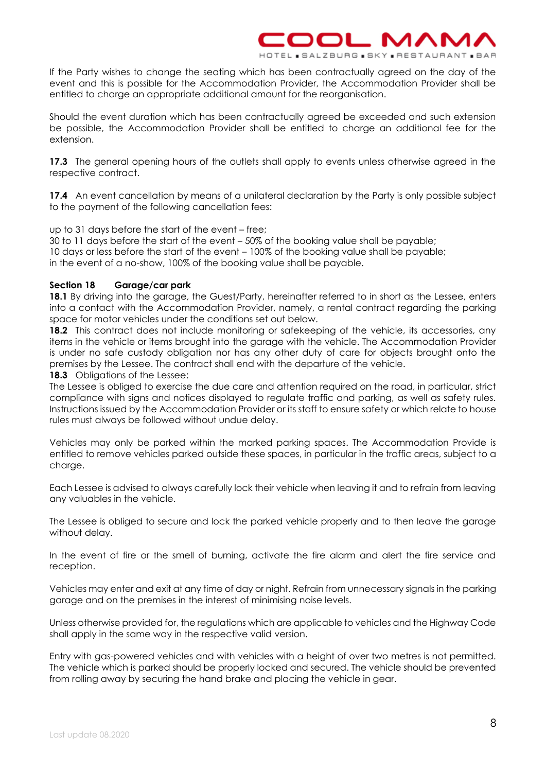If the Party wishes to change the seating which has been contractually agreed on the day of the event and this is possible for the Accommodation Provider, the Accommodation Provider shall be entitled to charge an appropriate additional amount for the reorganisation.

 $\Box$ 

L.SALZBURG.SK

1 A R

Should the event duration which has been contractually agreed be exceeded and such extension be possible, the Accommodation Provider shall be entitled to charge an additional fee for the extension.

**17.3** The general opening hours of the outlets shall apply to events unless otherwise agreed in the respective contract.

**17.4** An event cancellation by means of a unilateral declaration by the Party is only possible subject to the payment of the following cancellation fees:

up to 31 days before the start of the event – free;

30 to 11 days before the start of the event – 50% of the booking value shall be payable; 10 days or less before the start of the event – 100% of the booking value shall be payable; in the event of a no-show, 100% of the booking value shall be payable.

#### <span id="page-7-0"></span>**Section 18 Garage/car park**

**18.1** By driving into the garage, the Guest/Party, hereinafter referred to in short as the Lessee, enters into a contact with the Accommodation Provider, namely, a rental contract regarding the parking space for motor vehicles under the conditions set out below.

**18.2** This contract does not include monitoring or safekeeping of the vehicle, its accessories, any items in the vehicle or items brought into the garage with the vehicle. The Accommodation Provider is under no safe custody obligation nor has any other duty of care for objects brought onto the premises by the Lessee. The contract shall end with the departure of the vehicle.

**18.3** Obligations of the Lessee:

The Lessee is obliged to exercise the due care and attention required on the road, in particular, strict compliance with signs and notices displayed to regulate traffic and parking, as well as safety rules. Instructions issued by the Accommodation Provider or its staff to ensure safety or which relate to house rules must always be followed without undue delay.

Vehicles may only be parked within the marked parking spaces. The Accommodation Provide is entitled to remove vehicles parked outside these spaces, in particular in the traffic areas, subject to a charge.

Each Lessee is advised to always carefully lock their vehicle when leaving it and to refrain from leaving any valuables in the vehicle.

The Lessee is obliged to secure and lock the parked vehicle properly and to then leave the garage without delay.

In the event of fire or the smell of burning, activate the fire alarm and alert the fire service and reception.

Vehicles may enter and exit at any time of day or night. Refrain from unnecessary signals in the parking garage and on the premises in the interest of minimising noise levels.

Unless otherwise provided for, the regulations which are applicable to vehicles and the Highway Code shall apply in the same way in the respective valid version.

Entry with gas-powered vehicles and with vehicles with a height of over two metres is not permitted. The vehicle which is parked should be properly locked and secured. The vehicle should be prevented from rolling away by securing the hand brake and placing the vehicle in gear.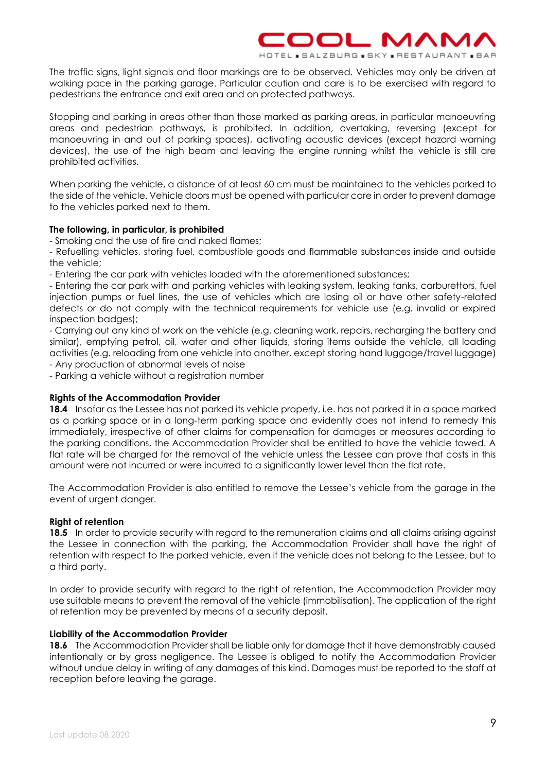The traffic signs, light signals and floor markings are to be observed. Vehicles may only be driven at walking pace in the parking garage. Particular caution and care is to be exercised with regard to pedestrians the entrance and exit area and on protected pathways.

OOL N

HOTEL SALZBURG SK

ЛЛN

**BESTAURANT . BAR** 

Stopping and parking in areas other than those marked as parking areas, in particular manoeuvring areas and pedestrian pathways, is prohibited. In addition, overtaking, reversing (except for manoeuvring in and out of parking spaces), activating acoustic devices (except hazard warning devices), the use of the high beam and leaving the engine running whilst the vehicle is still are prohibited activities.

When parking the vehicle, a distance of at least 60 cm must be maintained to the vehicles parked to the side of the vehicle. Vehicle doors must be opened with particular care in order to prevent damage to the vehicles parked next to them.

# **The following, in particular, is prohibited**

- Smoking and the use of fire and naked flames;

- Refuelling vehicles, storing fuel, combustible goods and flammable substances inside and outside the vehicle;

- Entering the car park with vehicles loaded with the aforementioned substances;

- Entering the car park with and parking vehicles with leaking system, leaking tanks, carburettors, fuel injection pumps or fuel lines, the use of vehicles which are losing oil or have other safety-related defects or do not comply with the technical requirements for vehicle use (e.g. invalid or expired inspection badges);

- Carrying out any kind of work on the vehicle (e.g. cleaning work, repairs, recharging the battery and similar), emptying petrol, oil, water and other liquids, storing items outside the vehicle, all loading activities (e.g. reloading from one vehicle into another, except storing hand luggage/travel luggage)

- Any production of abnormal levels of noise

- Parking a vehicle without a registration number

# **Rights of the Accommodation Provider**

**18.4** Insofar as the Lessee has not parked its vehicle properly, i.e. has not parked it in a space marked as a parking space or in a long-term parking space and evidently does not intend to remedy this immediately, irrespective of other claims for compensation for damages or measures according to the parking conditions, the Accommodation Provider shall be entitled to have the vehicle towed. A flat rate will be charged for the removal of the vehicle unless the Lessee can prove that costs in this amount were not incurred or were incurred to a significantly lower level than the flat rate.

The Accommodation Provider is also entitled to remove the Lessee's vehicle from the garage in the event of urgent danger.

# **Right of retention**

**18.5** In order to provide security with regard to the remuneration claims and all claims arising against the Lessee in connection with the parking, the Accommodation Provider shall have the right of retention with respect to the parked vehicle, even if the vehicle does not belong to the Lessee, but to a third party.

In order to provide security with regard to the right of retention, the Accommodation Provider may use suitable means to prevent the removal of the vehicle (immobilisation). The application of the right of retention may be prevented by means of a security deposit.

# **Liability of the Accommodation Provider**

**18.6** The Accommodation Provider shall be liable only for damage that it have demonstrably caused intentionally or by gross negligence. The Lessee is obliged to notify the Accommodation Provider without undue delay in writing of any damages of this kind. Damages must be reported to the staff at reception before leaving the garage.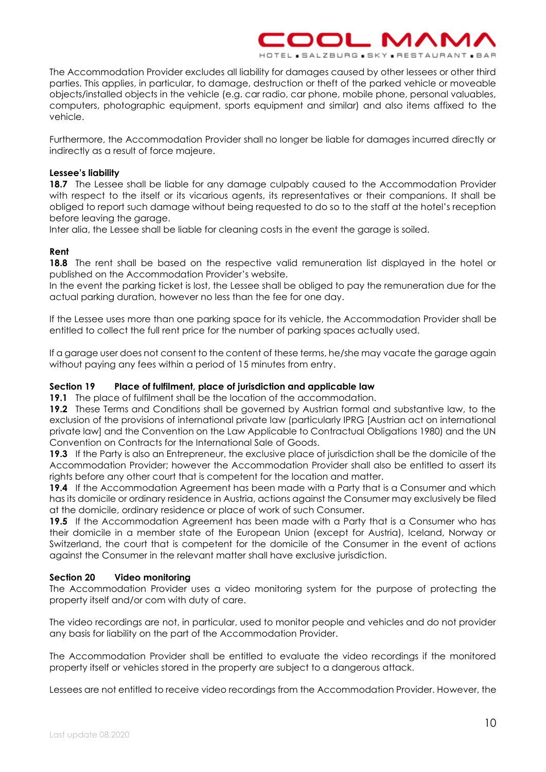

The Accommodation Provider excludes all liability for damages caused by other lessees or other third parties. This applies, in particular, to damage, destruction or theft of the parked vehicle or moveable objects/installed objects in the vehicle (e.g. car radio, car phone, mobile phone, personal valuables, computers, photographic equipment, sports equipment and similar) and also items affixed to the vehicle.

Furthermore, the Accommodation Provider shall no longer be liable for damages incurred directly or indirectly as a result of force majeure.

# **Lessee's liability**

18.7 The Lessee shall be liable for any damage culpably caused to the Accommodation Provider with respect to the itself or its vicarious agents, its representatives or their companions. It shall be obliged to report such damage without being requested to do so to the staff at the hotel's reception before leaving the garage.

Inter alia, the Lessee shall be liable for cleaning costs in the event the garage is soiled.

# **Rent**

**18.8** The rent shall be based on the respective valid remuneration list displayed in the hotel or published on the Accommodation Provider's website.

In the event the parking ticket is lost, the Lessee shall be obliged to pay the remuneration due for the actual parking duration, however no less than the fee for one day.

If the Lessee uses more than one parking space for its vehicle, the Accommodation Provider shall be entitled to collect the full rent price for the number of parking spaces actually used.

If a garage user does not consent to the content of these terms, he/she may vacate the garage again without paying any fees within a period of 15 minutes from entry.

# <span id="page-9-0"></span>**Section 19 Place of fulfilment, place of jurisdiction and applicable law**

**19.1** The place of fulfilment shall be the location of the accommodation.

**19.2** These Terms and Conditions shall be governed by Austrian formal and substantive law, to the exclusion of the provisions of international private law (particularly IPRG [Austrian act on international private law] and the Convention on the Law Applicable to Contractual Obligations 1980) and the UN Convention on Contracts for the International Sale of Goods.

**19.3** If the Party is also an Entrepreneur, the exclusive place of jurisdiction shall be the domicile of the Accommodation Provider; however the Accommodation Provider shall also be entitled to assert its rights before any other court that is competent for the location and matter.

**19.4** If the Accommodation Agreement has been made with a Party that is a Consumer and which has its domicile or ordinary residence in Austria, actions against the Consumer may exclusively be filed at the domicile, ordinary residence or place of work of such Consumer.

**19.5** If the Accommodation Agreement has been made with a Party that is a Consumer who has their domicile in a member state of the European Union (except for Austria), Iceland, Norway or Switzerland, the court that is competent for the domicile of the Consumer in the event of actions against the Consumer in the relevant matter shall have exclusive jurisdiction.

# <span id="page-9-1"></span>**Section 20 Video monitoring**

The Accommodation Provider uses a video monitoring system for the purpose of protecting the property itself and/or com with duty of care.

The video recordings are not, in particular, used to monitor people and vehicles and do not provider any basis for liability on the part of the Accommodation Provider.

The Accommodation Provider shall be entitled to evaluate the video recordings if the monitored property itself or vehicles stored in the property are subject to a dangerous attack.

Lessees are not entitled to receive video recordings from the Accommodation Provider. However, the